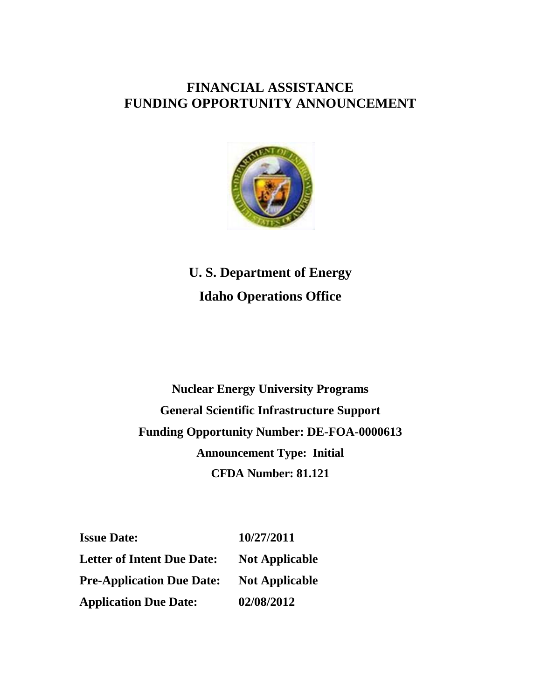# **FINANCIAL ASSISTANCE FUNDING OPPORTUNITY ANNOUNCEMENT**



**U. S. Department of Energy Idaho Operations Office**

**Nuclear Energy University Programs General Scientific Infrastructure Support Funding Opportunity Number: DE-FOA-0000613 Announcement Type: Initial CFDA Number: 81.121**

**Issue Date:** 10/27/2011 Letter of Intent Due Date: Not Applicable **Pre-Application Due Date: Not Applicable Application Due Date: 02/08/2012**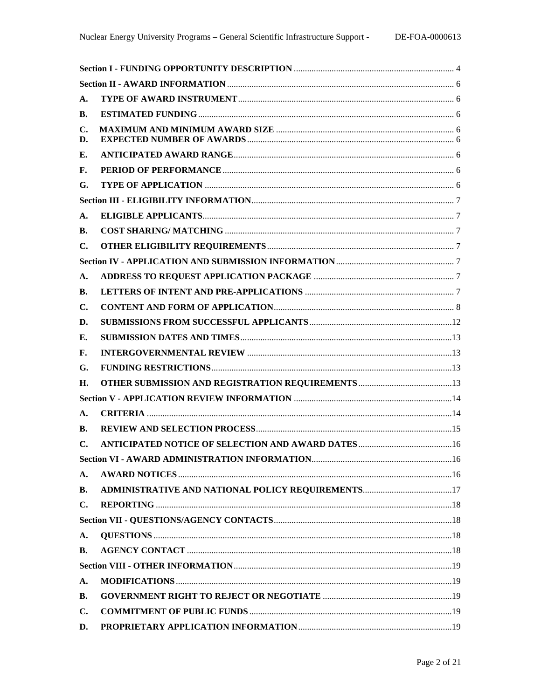| A.                   |  |  |  |  |  |
|----------------------|--|--|--|--|--|
| В.                   |  |  |  |  |  |
| $\mathbf{C}$ .<br>D. |  |  |  |  |  |
| Е.                   |  |  |  |  |  |
| F.                   |  |  |  |  |  |
| G.                   |  |  |  |  |  |
|                      |  |  |  |  |  |
| A.                   |  |  |  |  |  |
| В.                   |  |  |  |  |  |
| $\mathbf{C}$ .       |  |  |  |  |  |
|                      |  |  |  |  |  |
| A.                   |  |  |  |  |  |
| В.                   |  |  |  |  |  |
| $\mathbf{C}$ .       |  |  |  |  |  |
| D.                   |  |  |  |  |  |
| Е.                   |  |  |  |  |  |
| F.                   |  |  |  |  |  |
| G.                   |  |  |  |  |  |
| Н.                   |  |  |  |  |  |
|                      |  |  |  |  |  |
| A.                   |  |  |  |  |  |
| В.                   |  |  |  |  |  |
| $\mathbf{C}$ .       |  |  |  |  |  |
|                      |  |  |  |  |  |
| A.                   |  |  |  |  |  |
| <b>B.</b>            |  |  |  |  |  |
| $\mathbf{C}$ .       |  |  |  |  |  |
|                      |  |  |  |  |  |
| A.                   |  |  |  |  |  |
| В.                   |  |  |  |  |  |
|                      |  |  |  |  |  |
| A.                   |  |  |  |  |  |
| <b>B.</b>            |  |  |  |  |  |
| $\mathbf{C}$ .       |  |  |  |  |  |
| D.                   |  |  |  |  |  |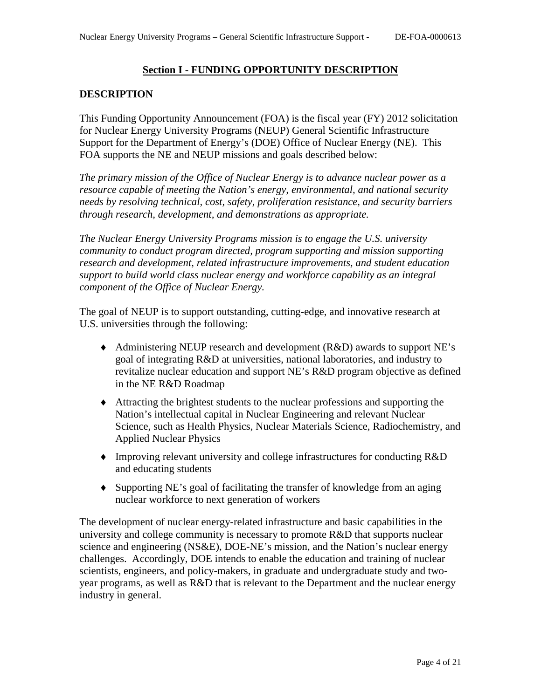# **Section I - FUNDING OPPORTUNITY DESCRIPTION**

# <span id="page-3-0"></span>**DESCRIPTION**

This Funding Opportunity Announcement (FOA) is the fiscal year (FY) 2012 solicitation for Nuclear Energy University Programs (NEUP) General Scientific Infrastructure Support for the Department of Energy's (DOE) Office of Nuclear Energy (NE). This FOA supports the NE and NEUP missions and goals described below:

*The primary mission of the Office of Nuclear Energy is to advance nuclear power as a resource capable of meeting the Nation's energy, environmental, and national security needs by resolving technical, cost, safety, proliferation resistance, and security barriers through research, development, and demonstrations as appropriate.*

*The Nuclear Energy University Programs mission is to engage the U.S. university community to conduct program directed, program supporting and mission supporting research and development, related infrastructure improvements, and student education support to build world class nuclear energy and workforce capability as an integral component of the Office of Nuclear Energy.*

The goal of NEUP is to support outstanding, cutting-edge, and innovative research at U.S. universities through the following:

- ♦ Administering NEUP research and development (R&D) awards to support NE's goal of integrating R&D at universities, national laboratories, and industry to revitalize nuclear education and support NE's R&D program objective as defined in the NE R&D Roadmap
- ♦ Attracting the brightest students to the nuclear professions and supporting the Nation's intellectual capital in Nuclear Engineering and relevant Nuclear Science, such as Health Physics, Nuclear Materials Science, Radiochemistry, and Applied Nuclear Physics
- ♦ Improving relevant university and college infrastructures for conducting R&D and educating students
- ♦ Supporting NE's goal of facilitating the transfer of knowledge from an aging nuclear workforce to next generation of workers

The development of nuclear energy-related infrastructure and basic capabilities in the university and college community is necessary to promote R&D that supports nuclear science and engineering (NS&E), DOE-NE's mission, and the Nation's nuclear energy challenges. Accordingly, DOE intends to enable the education and training of nuclear scientists, engineers, and policy-makers, in graduate and undergraduate study and twoyear programs, as well as R&D that is relevant to the Department and the nuclear energy industry in general.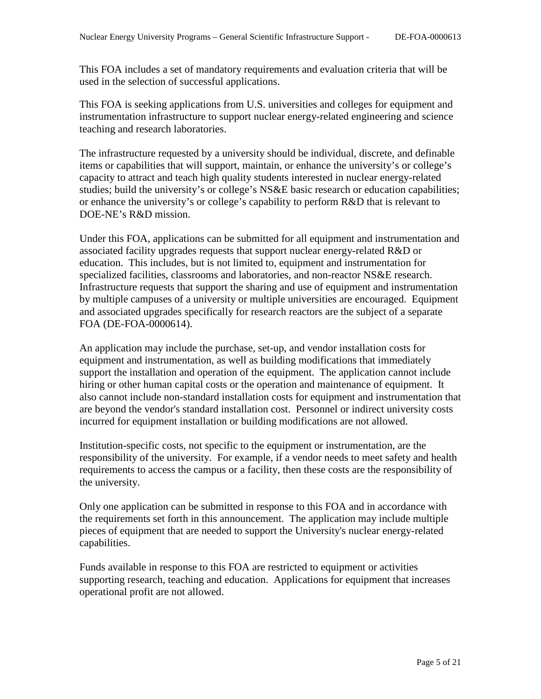This FOA includes a set of mandatory requirements and evaluation criteria that will be used in the selection of successful applications.

This FOA is seeking applications from U.S. universities and colleges for equipment and instrumentation infrastructure to support nuclear energy-related engineering and science teaching and research laboratories.

The infrastructure requested by a university should be individual, discrete, and definable items or capabilities that will support, maintain, or enhance the university's or college's capacity to attract and teach high quality students interested in nuclear energy-related studies; build the university's or college's NS&E basic research or education capabilities; or enhance the university's or college's capability to perform R&D that is relevant to DOE-NE's R&D mission.

Under this FOA, applications can be submitted for all equipment and instrumentation and associated facility upgrades requests that support nuclear energy-related R&D or education. This includes, but is not limited to, equipment and instrumentation for specialized facilities, classrooms and laboratories, and non-reactor NS&E research. Infrastructure requests that support the sharing and use of equipment and instrumentation by multiple campuses of a university or multiple universities are encouraged. Equipment and associated upgrades specifically for research reactors are the subject of a separate FOA (DE-FOA-0000614).

An application may include the purchase, set-up, and vendor installation costs for equipment and instrumentation, as well as building modifications that immediately support the installation and operation of the equipment. The application cannot include hiring or other human capital costs or the operation and maintenance of equipment. It also cannot include non-standard installation costs for equipment and instrumentation that are beyond the vendor's standard installation cost. Personnel or indirect university costs incurred for equipment installation or building modifications are not allowed.

Institution-specific costs, not specific to the equipment or instrumentation, are the responsibility of the university. For example, if a vendor needs to meet safety and health requirements to access the campus or a facility, then these costs are the responsibility of the university.

Only one application can be submitted in response to this FOA and in accordance with the requirements set forth in this announcement. The application may include multiple pieces of equipment that are needed to support the University's nuclear energy-related capabilities.

Funds available in response to this FOA are restricted to equipment or activities supporting research, teaching and education. Applications for equipment that increases operational profit are not allowed.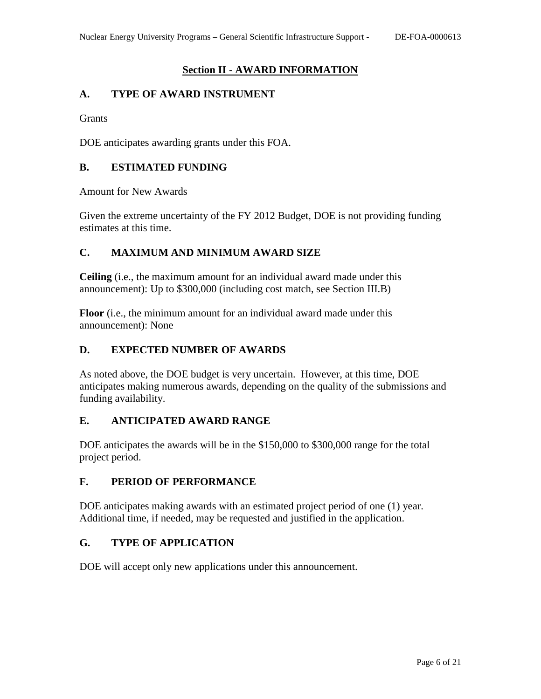# **Section II - AWARD INFORMATION**

# <span id="page-5-1"></span><span id="page-5-0"></span>**A. TYPE OF AWARD INSTRUMENT**

**Grants** 

DOE anticipates awarding grants under this FOA.

# <span id="page-5-2"></span>**B. ESTIMATED FUNDING**

Amount for New Awards

Given the extreme uncertainty of the FY 2012 Budget, DOE is not providing funding estimates at this time.

# <span id="page-5-3"></span>**C. MAXIMUM AND MINIMUM AWARD SIZE**

**Ceiling** (i.e., the maximum amount for an individual award made under this announcement): Up to \$300,000 (including cost match, see Section III.B)

**Floor** (i.e., the minimum amount for an individual award made under this announcement): None

# <span id="page-5-4"></span>**D. EXPECTED NUMBER OF AWARDS**

As noted above, the DOE budget is very uncertain. However, at this time, DOE anticipates making numerous awards, depending on the quality of the submissions and funding availability.

### <span id="page-5-5"></span>**E. ANTICIPATED AWARD RANGE**

DOE anticipates the awards will be in the \$150,000 to \$300,000 range for the total project period.

### <span id="page-5-6"></span>**F. PERIOD OF PERFORMANCE**

DOE anticipates making awards with an estimated project period of one (1) year. Additional time, if needed, may be requested and justified in the application.

### <span id="page-5-7"></span>**G. TYPE OF APPLICATION**

DOE will accept only new applications under this announcement.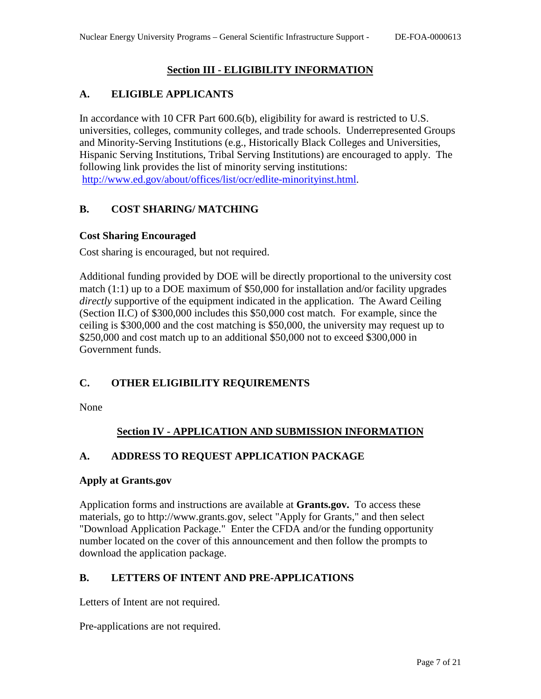# **Section III - ELIGIBILITY INFORMATION**

# <span id="page-6-1"></span><span id="page-6-0"></span>**A. ELIGIBLE APPLICANTS**

In accordance with 10 CFR Part 600.6(b), eligibility for award is restricted to U.S. universities, colleges, community colleges, and trade schools. Underrepresented Groups and Minority-Serving Institutions (e.g., Historically Black Colleges and Universities, Hispanic Serving Institutions, Tribal Serving Institutions) are encouraged to apply. The following link provides the list of minority serving institutions: [http://www.ed.gov/about/offices/list/ocr/edlite-minorityinst.html.](http://www.ed.gov/about/offices/list/ocr/edlite-minorityinst.html)

# <span id="page-6-2"></span>**B. COST SHARING/ MATCHING**

### **Cost Sharing Encouraged**

Cost sharing is encouraged, but not required.

Additional funding provided by DOE will be directly proportional to the university cost match (1:1) up to a DOE maximum of \$50,000 for installation and/or facility upgrades *directly* supportive of the equipment indicated in the application. The Award Ceiling (Section II.C) of \$300,000 includes this \$50,000 cost match. For example, since the ceiling is \$300,000 and the cost matching is \$50,000, the university may request up to \$250,000 and cost match up to an additional \$50,000 not to exceed \$300,000 in Government funds.

# <span id="page-6-3"></span>**C. OTHER ELIGIBILITY REQUIREMENTS**

<span id="page-6-4"></span>None

# **Section IV - APPLICATION AND SUBMISSION INFORMATION**

# <span id="page-6-5"></span>**A. ADDRESS TO REQUEST APPLICATION PACKAGE**

#### **Apply at Grants.gov**

Application forms and instructions are available at **Grants.gov.** To access these materials, go to http://www.grants.gov, select "Apply for Grants," and then select "Download Application Package." Enter the CFDA and/or the funding opportunity number located on the cover of this announcement and then follow the prompts to download the application package.

### <span id="page-6-6"></span>**B. LETTERS OF INTENT AND PRE-APPLICATIONS**

Letters of Intent are not required.

Pre-applications are not required.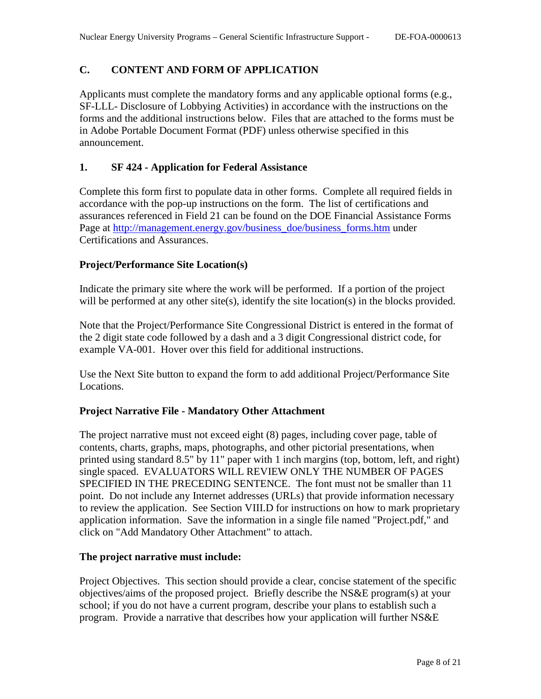# <span id="page-7-0"></span>**C. CONTENT AND FORM OF APPLICATION**

Applicants must complete the mandatory forms and any applicable optional forms (e.g., SF-LLL- Disclosure of Lobbying Activities) in accordance with the instructions on the forms and the additional instructions below. Files that are attached to the forms must be in Adobe Portable Document Format (PDF) unless otherwise specified in this announcement.

# **1. SF 424 - Application for Federal Assistance**

Complete this form first to populate data in other forms. Complete all required fields in accordance with the pop-up instructions on the form. The list of certifications and assurances referenced in Field 21 can be found on the DOE Financial Assistance Forms Page at [http://management.energy.gov/business\\_doe/business\\_forms.htm](http://management.energy.gov/business_doe/business_forms.htm) under Certifications and Assurances.

### **Project/Performance Site Location(s)**

Indicate the primary site where the work will be performed. If a portion of the project will be performed at any other site(s), identify the site location(s) in the blocks provided.

Note that the Project/Performance Site Congressional District is entered in the format of the 2 digit state code followed by a dash and a 3 digit Congressional district code, for example VA-001. Hover over this field for additional instructions.

Use the Next Site button to expand the form to add additional Project/Performance Site Locations.

### **Project Narrative File - Mandatory Other Attachment**

The project narrative must not exceed eight (8) pages, including cover page, table of contents, charts, graphs, maps, photographs, and other pictorial presentations, when printed using standard 8.5" by 11" paper with 1 inch margins (top, bottom, left, and right) single spaced. EVALUATORS WILL REVIEW ONLY THE NUMBER OF PAGES SPECIFIED IN THE PRECEDING SENTENCE. The font must not be smaller than 11 point. Do not include any Internet addresses (URLs) that provide information necessary to review the application. See Section VIII.D for instructions on how to mark proprietary application information. Save the information in a single file named "Project.pdf," and click on "Add Mandatory Other Attachment" to attach.

### **The project narrative must include:**

Project Objectives. This section should provide a clear, concise statement of the specific objectives/aims of the proposed project. Briefly describe the NS&E program(s) at your school; if you do not have a current program, describe your plans to establish such a program. Provide a narrative that describes how your application will further NS&E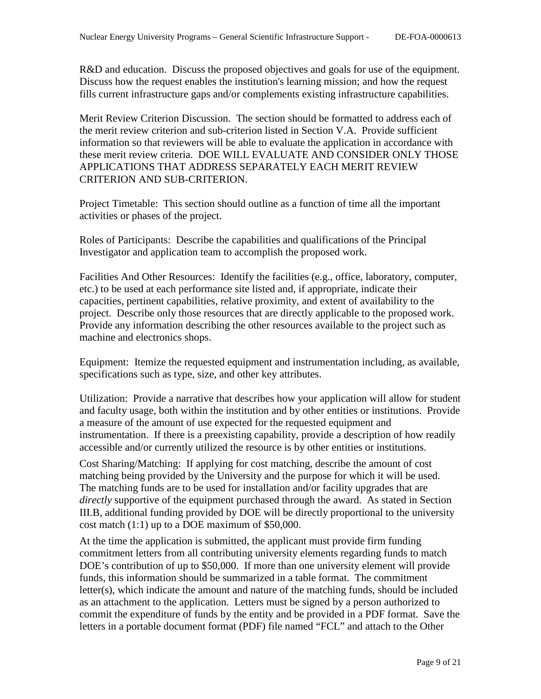R&D and education. Discuss the proposed objectives and goals for use of the equipment. Discuss how the request enables the institution's learning mission; and how the request fills current infrastructure gaps and/or complements existing infrastructure capabilities.

Merit Review Criterion Discussion. The section should be formatted to address each of the merit review criterion and sub-criterion listed in Section V.A. Provide sufficient information so that reviewers will be able to evaluate the application in accordance with these merit review criteria. DOE WILL EVALUATE AND CONSIDER ONLY THOSE APPLICATIONS THAT ADDRESS SEPARATELY EACH MERIT REVIEW CRITERION AND SUB-CRITERION.

Project Timetable: This section should outline as a function of time all the important activities or phases of the project.

Roles of Participants: Describe the capabilities and qualifications of the Principal Investigator and application team to accomplish the proposed work.

Facilities And Other Resources: Identify the facilities (e.g., office, laboratory, computer, etc.) to be used at each performance site listed and, if appropriate, indicate their capacities, pertinent capabilities, relative proximity, and extent of availability to the project. Describe only those resources that are directly applicable to the proposed work. Provide any information describing the other resources available to the project such as machine and electronics shops.

Equipment: Itemize the requested equipment and instrumentation including, as available, specifications such as type, size, and other key attributes.

Utilization: Provide a narrative that describes how your application will allow for student and faculty usage, both within the institution and by other entities or institutions. Provide a measure of the amount of use expected for the requested equipment and instrumentation. If there is a preexisting capability, provide a description of how readily accessible and/or currently utilized the resource is by other entities or institutions.

Cost Sharing/Matching: If applying for cost matching, describe the amount of cost matching being provided by the University and the purpose for which it will be used. The matching funds are to be used for installation and/or facility upgrades that are *directly* supportive of the equipment purchased through the award. As stated in Section III.B, additional funding provided by DOE will be directly proportional to the university cost match (1:1) up to a DOE maximum of \$50,000.

At the time the application is submitted, the applicant must provide firm funding commitment letters from all contributing university elements regarding funds to match DOE's contribution of up to \$50,000. If more than one university element will provide funds, this information should be summarized in a table format. The commitment letter(s), which indicate the amount and nature of the matching funds, should be included as an attachment to the application. Letters must be signed by a person authorized to commit the expenditure of funds by the entity and be provided in a PDF format. Save the letters in a portable document format (PDF) file named "FCL" and attach to the Other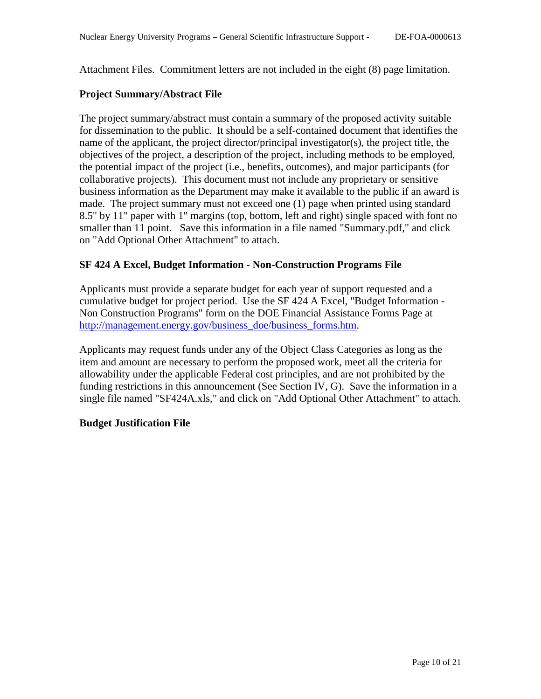Attachment Files. Commitment letters are not included in the eight (8) page limitation.

# **Project Summary/Abstract File**

The project summary/abstract must contain a summary of the proposed activity suitable for dissemination to the public. It should be a self-contained document that identifies the name of the applicant, the project director/principal investigator(s), the project title, the objectives of the project, a description of the project, including methods to be employed, the potential impact of the project (i.e., benefits, outcomes), and major participants (for collaborative projects). This document must not include any proprietary or sensitive business information as the Department may make it available to the public if an award is made. The project summary must not exceed one (1) page when printed using standard 8.5" by 11" paper with 1" margins (top, bottom, left and right) single spaced with font no smaller than 11 point. Save this information in a file named "Summary.pdf," and click on "Add Optional Other Attachment" to attach.

# **SF 424 A Excel, Budget Information - Non-Construction Programs File**

Applicants must provide a separate budget for each year of support requested and a cumulative budget for project period. Use the SF 424 A Excel, "Budget Information - Non Construction Programs" form on the DOE Financial Assistance Forms Page at [http://management.energy.gov/business\\_doe/business\\_forms.htm.](http://management.energy.gov/business_doe/business_forms.htm)

Applicants may request funds under any of the Object Class Categories as long as the item and amount are necessary to perform the proposed work, meet all the criteria for allowability under the applicable Federal cost principles, and are not prohibited by the funding restrictions in this announcement (See Section IV, G). Save the information in a single file named "SF424A.xls," and click on "Add Optional Other Attachment" to attach.

### **Budget Justification File**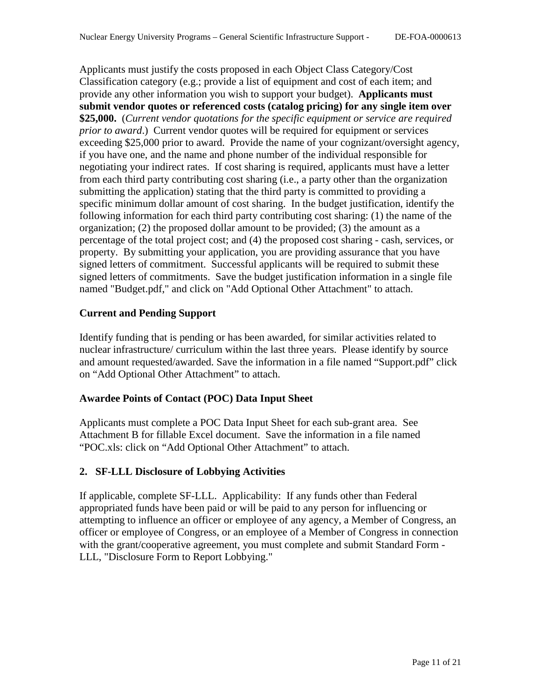Applicants must justify the costs proposed in each Object Class Category/Cost Classification category (e.g.; provide a list of equipment and cost of each item; and provide any other information you wish to support your budget). **Applicants must submit vendor quotes or referenced costs (catalog pricing) for any single item over \$25,000.** (*Current vendor quotations for the specific equipment or service are required prior to award*.) Current vendor quotes will be required for equipment or services exceeding \$25,000 prior to award. Provide the name of your cognizant/oversight agency, if you have one, and the name and phone number of the individual responsible for negotiating your indirect rates. If cost sharing is required, applicants must have a letter from each third party contributing cost sharing (i.e., a party other than the organization submitting the application) stating that the third party is committed to providing a specific minimum dollar amount of cost sharing. In the budget justification, identify the following information for each third party contributing cost sharing: (1) the name of the organization; (2) the proposed dollar amount to be provided; (3) the amount as a percentage of the total project cost; and (4) the proposed cost sharing - cash, services, or property. By submitting your application, you are providing assurance that you have signed letters of commitment. Successful applicants will be required to submit these signed letters of commitments. Save the budget justification information in a single file named "Budget.pdf," and click on "Add Optional Other Attachment" to attach.

### **Current and Pending Support**

Identify funding that is pending or has been awarded, for similar activities related to nuclear infrastructure/ curriculum within the last three years. Please identify by source and amount requested/awarded. Save the information in a file named "Support.pdf" click on "Add Optional Other Attachment" to attach.

### **Awardee Points of Contact (POC) Data Input Sheet**

Applicants must complete a POC Data Input Sheet for each sub-grant area. See Attachment B for fillable Excel document. Save the information in a file named "POC.xls: click on "Add Optional Other Attachment" to attach.

# **2. SF-LLL Disclosure of Lobbying Activities**

If applicable, complete SF-LLL. Applicability: If any funds other than Federal appropriated funds have been paid or will be paid to any person for influencing or attempting to influence an officer or employee of any agency, a Member of Congress, an officer or employee of Congress, or an employee of a Member of Congress in connection with the grant/cooperative agreement, you must complete and submit Standard Form - LLL, "Disclosure Form to Report Lobbying."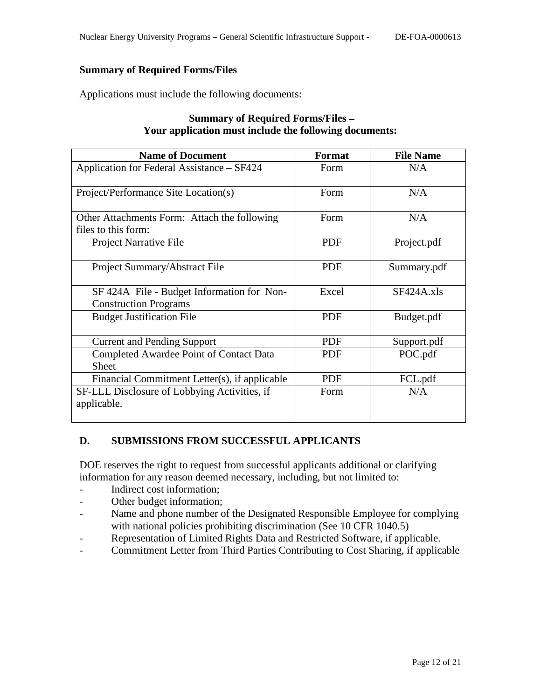# **Summary of Required Forms/Files**

Applications must include the following documents:

| <b>Name of Document</b>                                                    | <b>Format</b> | <b>File Name</b> |
|----------------------------------------------------------------------------|---------------|------------------|
| Application for Federal Assistance - SF424                                 | Form          | N/A              |
| Project/Performance Site Location(s)                                       | Form          | N/A              |
| Other Attachments Form: Attach the following<br>files to this form:        | Form          | N/A              |
| Project Narrative File                                                     | <b>PDF</b>    | Project.pdf      |
| Project Summary/Abstract File                                              | <b>PDF</b>    | Summary.pdf      |
| SF 424A File - Budget Information for Non-<br><b>Construction Programs</b> | Excel         | $SF424A$ .xls    |
| <b>Budget Justification File</b>                                           | <b>PDF</b>    | Budget.pdf       |
| <b>Current and Pending Support</b>                                         | <b>PDF</b>    | Support.pdf      |
| Completed Awardee Point of Contact Data<br><b>Sheet</b>                    | <b>PDF</b>    | POC.pdf          |
| Financial Commitment Letter(s), if applicable                              | <b>PDF</b>    | FCL.pdf          |
| SF-LLL Disclosure of Lobbying Activities, if<br>applicable.                | Form          | N/A              |

# **Summary of Required Forms/Files Your application must include the following documents:**

### <span id="page-11-0"></span>**D. SUBMISSIONS FROM SUCCESSFUL APPLICANTS**

DOE reserves the right to request from successful applicants additional or clarifying information for any reason deemed necessary, including, but not limited to:

- Indirect cost information;
- Other budget information;
- Name and phone number of the Designated Responsible Employee for complying with national policies prohibiting discrimination (See 10 CFR 1040.5)
- Representation of Limited Rights Data and Restricted Software, if applicable.
- Commitment Letter from Third Parties Contributing to Cost Sharing, if applicable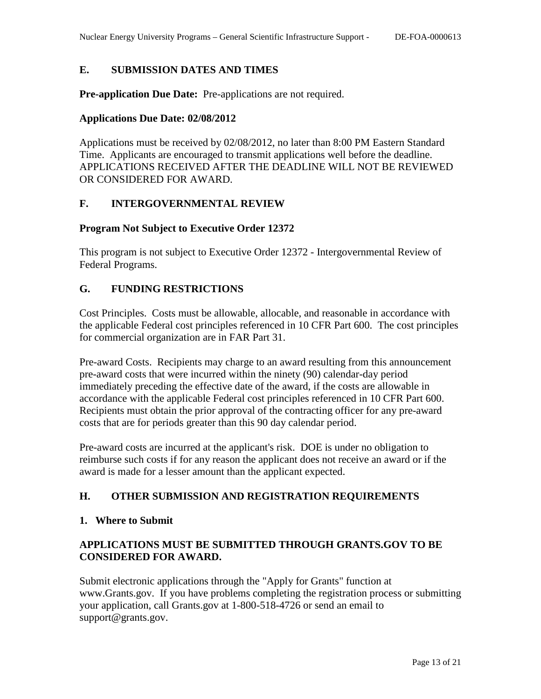# <span id="page-12-0"></span>**E. SUBMISSION DATES AND TIMES**

**Pre-application Due Date:** Pre-applications are not required.

#### **Applications Due Date: 02/08/2012**

Applications must be received by 02/08/2012, no later than 8:00 PM Eastern Standard Time. Applicants are encouraged to transmit applications well before the deadline. APPLICATIONS RECEIVED AFTER THE DEADLINE WILL NOT BE REVIEWED OR CONSIDERED FOR AWARD.

### <span id="page-12-1"></span>**F. INTERGOVERNMENTAL REVIEW**

#### **Program Not Subject to Executive Order 12372**

This program is not subject to Executive Order 12372 - Intergovernmental Review of Federal Programs.

### <span id="page-12-2"></span>**G. FUNDING RESTRICTIONS**

Cost Principles. Costs must be allowable, allocable, and reasonable in accordance with the applicable Federal cost principles referenced in 10 CFR Part 600. The cost principles for commercial organization are in FAR Part 31.

Pre-award Costs. Recipients may charge to an award resulting from this announcement pre-award costs that were incurred within the ninety (90) calendar-day period immediately preceding the effective date of the award, if the costs are allowable in accordance with the applicable Federal cost principles referenced in 10 CFR Part 600. Recipients must obtain the prior approval of the contracting officer for any pre-award costs that are for periods greater than this 90 day calendar period.

Pre-award costs are incurred at the applicant's risk. DOE is under no obligation to reimburse such costs if for any reason the applicant does not receive an award or if the award is made for a lesser amount than the applicant expected.

### <span id="page-12-3"></span>**H. OTHER SUBMISSION AND REGISTRATION REQUIREMENTS**

#### **1. Where to Submit**

# **APPLICATIONS MUST BE SUBMITTED THROUGH GRANTS.GOV TO BE CONSIDERED FOR AWARD.**

Submit electronic applications through the "Apply for Grants" function at www.Grants.gov. If you have problems completing the registration process or submitting your application, call Grants.gov at 1-800-518-4726 or send an email to support@grants.gov.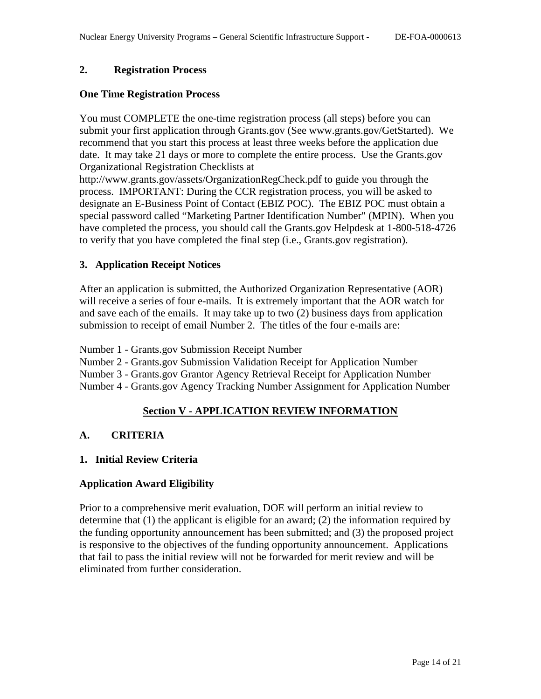### **2. Registration Process**

#### **One Time Registration Process**

You must COMPLETE the one-time registration process (all steps) before you can submit your first application through Grants.gov (See www.grants.gov/GetStarted). We recommend that you start this process at least three weeks before the application due date. It may take 21 days or more to complete the entire process. Use the Grants.gov Organizational Registration Checklists at

http://www.grants.gov/assets/OrganizationRegCheck.pdf to guide you through the process. IMPORTANT: During the CCR registration process, you will be asked to designate an E-Business Point of Contact (EBIZ POC). The EBIZ POC must obtain a special password called "Marketing Partner Identification Number" (MPIN). When you have completed the process, you should call the Grants.gov Helpdesk at 1-800-518-4726 to verify that you have completed the final step (i.e., Grants.gov registration).

### **3. Application Receipt Notices**

After an application is submitted, the Authorized Organization Representative (AOR) will receive a series of four e-mails. It is extremely important that the AOR watch for and save each of the emails. It may take up to two (2) business days from application submission to receipt of email Number 2. The titles of the four e-mails are:

Number 1 - Grants.gov Submission Receipt Number

Number 2 - Grants.gov Submission Validation Receipt for Application Number

Number 3 - Grants.gov Grantor Agency Retrieval Receipt for Application Number

<span id="page-13-0"></span>Number 4 - Grants.gov Agency Tracking Number Assignment for Application Number

### **Section V - APPLICATION REVIEW INFORMATION**

#### <span id="page-13-1"></span>**A. CRITERIA**

#### **1. Initial Review Criteria**

### **Application Award Eligibility**

Prior to a comprehensive merit evaluation, DOE will perform an initial review to determine that (1) the applicant is eligible for an award; (2) the information required by the funding opportunity announcement has been submitted; and (3) the proposed project is responsive to the objectives of the funding opportunity announcement. Applications that fail to pass the initial review will not be forwarded for merit review and will be eliminated from further consideration.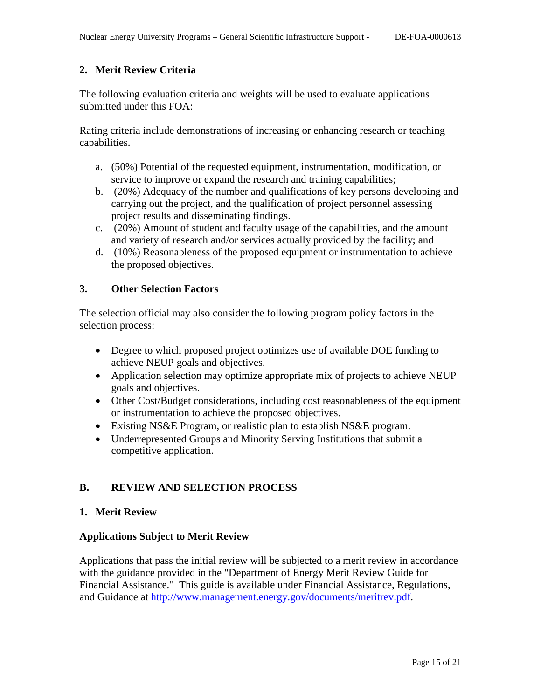# **2. Merit Review Criteria**

The following evaluation criteria and weights will be used to evaluate applications submitted under this FOA:

Rating criteria include demonstrations of increasing or enhancing research or teaching capabilities.

- a. (50%) Potential of the requested equipment, instrumentation, modification, or service to improve or expand the research and training capabilities;
- b. (20%) Adequacy of the number and qualifications of key persons developing and carrying out the project, and the qualification of project personnel assessing project results and disseminating findings.
- c. (20%) Amount of student and faculty usage of the capabilities, and the amount and variety of research and/or services actually provided by the facility; and
- d. (10%) Reasonableness of the proposed equipment or instrumentation to achieve the proposed objectives.

### **3. Other Selection Factors**

The selection official may also consider the following program policy factors in the selection process:

- Degree to which proposed project optimizes use of available DOE funding to achieve NEUP goals and objectives.
- Application selection may optimize appropriate mix of projects to achieve NEUP goals and objectives.
- Other Cost/Budget considerations, including cost reasonableness of the equipment or instrumentation to achieve the proposed objectives.
- Existing NS&E Program, or realistic plan to establish NS&E program.
- Underrepresented Groups and Minority Serving Institutions that submit a competitive application.

# <span id="page-14-0"></span>**B. REVIEW AND SELECTION PROCESS**

### **1. Merit Review**

### **Applications Subject to Merit Review**

Applications that pass the initial review will be subjected to a merit review in accordance with the guidance provided in the "Department of Energy Merit Review Guide for Financial Assistance." This guide is available under Financial Assistance, Regulations, and Guidance at [http://www.management.energy.gov/documents/meritrev.pdf.](http://www.management.energy.gov/documents/meritrev.pdf)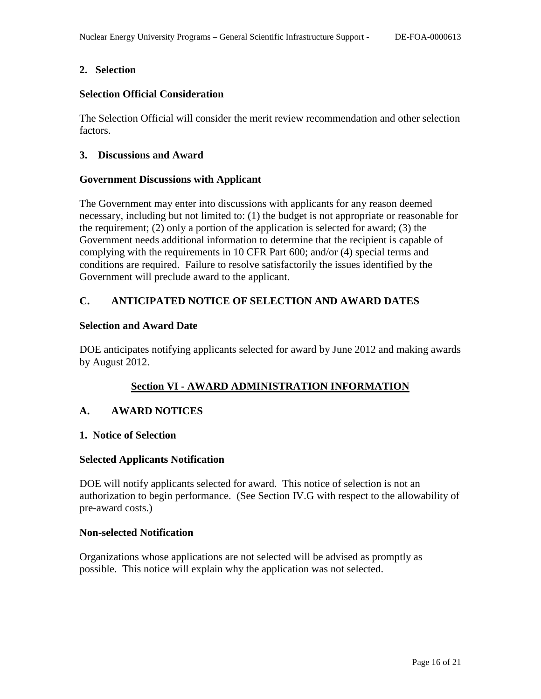### **2. Selection**

### **Selection Official Consideration**

The Selection Official will consider the merit review recommendation and other selection factors.

### **3. Discussions and Award**

#### **Government Discussions with Applicant**

The Government may enter into discussions with applicants for any reason deemed necessary, including but not limited to: (1) the budget is not appropriate or reasonable for the requirement; (2) only a portion of the application is selected for award; (3) the Government needs additional information to determine that the recipient is capable of complying with the requirements in 10 CFR Part 600; and/or (4) special terms and conditions are required. Failure to resolve satisfactorily the issues identified by the Government will preclude award to the applicant.

# <span id="page-15-0"></span>**C. ANTICIPATED NOTICE OF SELECTION AND AWARD DATES**

#### **Selection and Award Date**

DOE anticipates notifying applicants selected for award by June 2012 and making awards by August 2012.

# **Section VI - AWARD ADMINISTRATION INFORMATION**

### <span id="page-15-2"></span><span id="page-15-1"></span>**A. AWARD NOTICES**

#### **1. Notice of Selection**

#### **Selected Applicants Notification**

DOE will notify applicants selected for award. This notice of selection is not an authorization to begin performance. (See Section IV.G with respect to the allowability of pre-award costs.)

#### **Non-selected Notification**

Organizations whose applications are not selected will be advised as promptly as possible. This notice will explain why the application was not selected.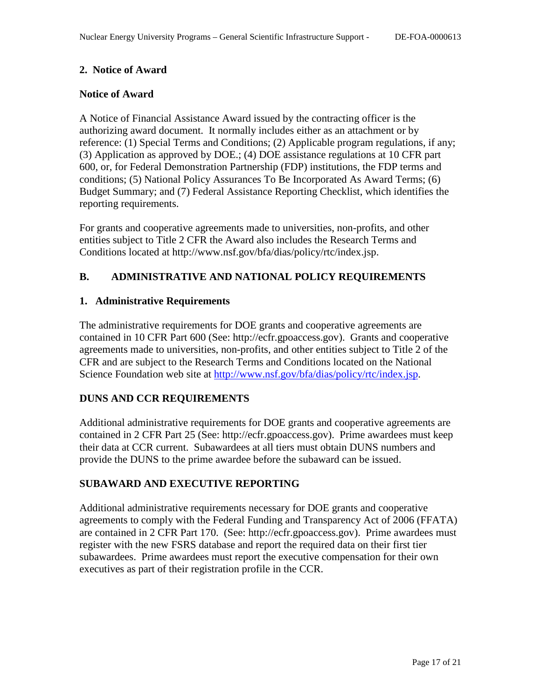### **2. Notice of Award**

### **Notice of Award**

A Notice of Financial Assistance Award issued by the contracting officer is the authorizing award document. It normally includes either as an attachment or by reference: (1) Special Terms and Conditions; (2) Applicable program regulations, if any; (3) Application as approved by DOE.; (4) DOE assistance regulations at 10 CFR part 600, or, for Federal Demonstration Partnership (FDP) institutions, the FDP terms and conditions; (5) National Policy Assurances To Be Incorporated As Award Terms; (6) Budget Summary; and (7) Federal Assistance Reporting Checklist, which identifies the reporting requirements.

For grants and cooperative agreements made to universities, non-profits, and other entities subject to Title 2 CFR the Award also includes the Research Terms and Conditions located at http://www.nsf.gov/bfa/dias/policy/rtc/index.jsp.

# <span id="page-16-0"></span>**B. ADMINISTRATIVE AND NATIONAL POLICY REQUIREMENTS**

### **1. Administrative Requirements**

The administrative requirements for DOE grants and cooperative agreements are contained in 10 CFR Part 600 (See: http://ecfr.gpoaccess.gov). Grants and cooperative agreements made to universities, non-profits, and other entities subject to Title 2 of the CFR and are subject to the Research Terms and Conditions located on the National Science Foundation web site at [http://www.nsf.gov/bfa/dias/policy/rtc/index.jsp.](http://www.nsf.gov/bfa/dias/policy/rtc/index.jsp)

### **DUNS AND CCR REQUIREMENTS**

Additional administrative requirements for DOE grants and cooperative agreements are contained in 2 CFR Part 25 (See: http://ecfr.gpoaccess.gov). Prime awardees must keep their data at CCR current. Subawardees at all tiers must obtain DUNS numbers and provide the DUNS to the prime awardee before the subaward can be issued.

### **SUBAWARD AND EXECUTIVE REPORTING**

Additional administrative requirements necessary for DOE grants and cooperative agreements to comply with the Federal Funding and Transparency Act of 2006 (FFATA) are contained in 2 CFR Part 170. (See: http://ecfr.gpoaccess.gov). Prime awardees must register with the new FSRS database and report the required data on their first tier subawardees. Prime awardees must report the executive compensation for their own executives as part of their registration profile in the CCR.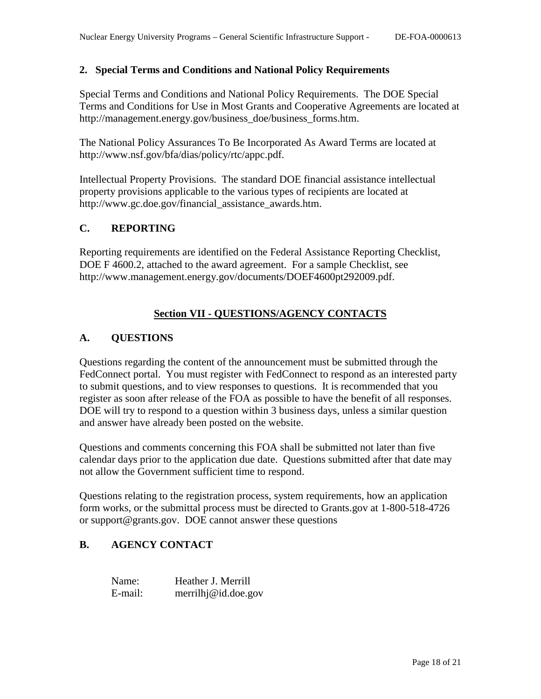#### **2. Special Terms and Conditions and National Policy Requirements**

Special Terms and Conditions and National Policy Requirements. The DOE Special Terms and Conditions for Use in Most Grants and Cooperative Agreements are located at http://management.energy.gov/business\_doe/business\_forms.htm.

The National Policy Assurances To Be Incorporated As Award Terms are located at http://www.nsf.gov/bfa/dias/policy/rtc/appc.pdf.

Intellectual Property Provisions. The standard DOE financial assistance intellectual property provisions applicable to the various types of recipients are located at http://www.gc.doe.gov/financial\_assistance\_awards.htm.

# <span id="page-17-0"></span>**C. REPORTING**

Reporting requirements are identified on the Federal Assistance Reporting Checklist, DOE F 4600.2, attached to the award agreement. For a sample Checklist, see http://www.management.energy.gov/documents/DOEF4600pt292009.pdf.

# **Section VII - QUESTIONS/AGENCY CONTACTS**

### <span id="page-17-2"></span><span id="page-17-1"></span>**A. QUESTIONS**

Questions regarding the content of the announcement must be submitted through the FedConnect portal. You must register with FedConnect to respond as an interested party to submit questions, and to view responses to questions. It is recommended that you register as soon after release of the FOA as possible to have the benefit of all responses. DOE will try to respond to a question within 3 business days, unless a similar question and answer have already been posted on the website.

Questions and comments concerning this FOA shall be submitted not later than five calendar days prior to the application due date. Questions submitted after that date may not allow the Government sufficient time to respond.

Questions relating to the registration process, system requirements, how an application form works, or the submittal process must be directed to Grants.gov at 1-800-518-4726 or support@grants.gov. DOE cannot answer these questions

## <span id="page-17-3"></span>**B. AGENCY CONTACT**

Name: Heather J. Merrill E-mail: merrilhj@id.doe.gov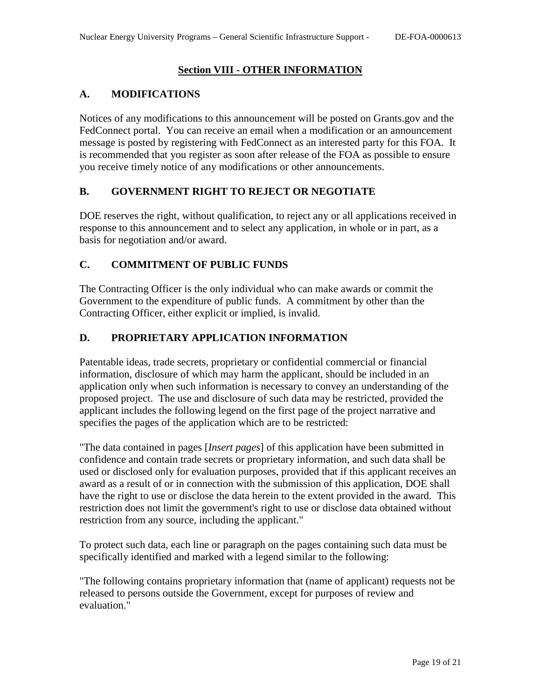# **Section VIII - OTHER INFORMATION**

# <span id="page-18-1"></span><span id="page-18-0"></span>**A. MODIFICATIONS**

Notices of any modifications to this announcement will be posted on Grants.gov and the FedConnect portal. You can receive an email when a modification or an announcement message is posted by registering with FedConnect as an interested party for this FOA. It is recommended that you register as soon after release of the FOA as possible to ensure you receive timely notice of any modifications or other announcements.

# <span id="page-18-2"></span>**B. GOVERNMENT RIGHT TO REJECT OR NEGOTIATE**

DOE reserves the right, without qualification, to reject any or all applications received in response to this announcement and to select any application, in whole or in part, as a basis for negotiation and/or award.

# <span id="page-18-3"></span>**C. COMMITMENT OF PUBLIC FUNDS**

The Contracting Officer is the only individual who can make awards or commit the Government to the expenditure of public funds. A commitment by other than the Contracting Officer, either explicit or implied, is invalid.

# <span id="page-18-4"></span>**D. PROPRIETARY APPLICATION INFORMATION**

Patentable ideas, trade secrets, proprietary or confidential commercial or financial information, disclosure of which may harm the applicant, should be included in an application only when such information is necessary to convey an understanding of the proposed project. The use and disclosure of such data may be restricted, provided the applicant includes the following legend on the first page of the project narrative and specifies the pages of the application which are to be restricted:

"The data contained in pages [*Insert pages*] of this application have been submitted in confidence and contain trade secrets or proprietary information, and such data shall be used or disclosed only for evaluation purposes, provided that if this applicant receives an award as a result of or in connection with the submission of this application, DOE shall have the right to use or disclose the data herein to the extent provided in the award. This restriction does not limit the government's right to use or disclose data obtained without restriction from any source, including the applicant."

To protect such data, each line or paragraph on the pages containing such data must be specifically identified and marked with a legend similar to the following:

"The following contains proprietary information that (name of applicant) requests not be released to persons outside the Government, except for purposes of review and evaluation."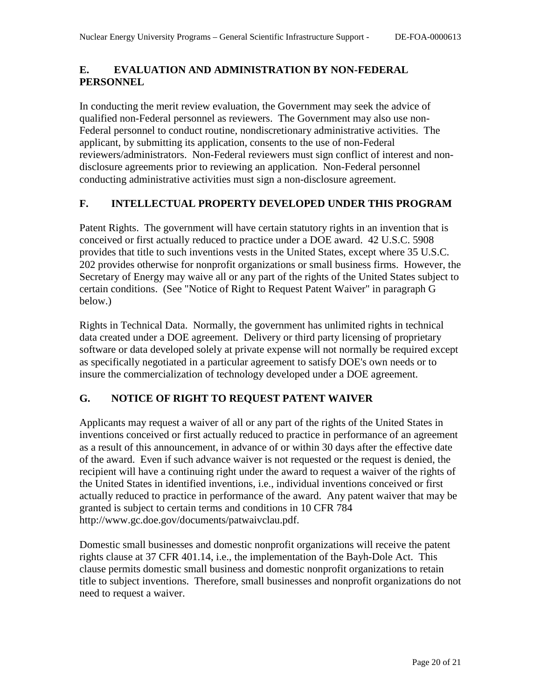# <span id="page-19-0"></span>**E. EVALUATION AND ADMINISTRATION BY NON-FEDERAL PERSONNEL**

In conducting the merit review evaluation, the Government may seek the advice of qualified non-Federal personnel as reviewers. The Government may also use non-Federal personnel to conduct routine, nondiscretionary administrative activities. The applicant, by submitting its application, consents to the use of non-Federal reviewers/administrators. Non-Federal reviewers must sign conflict of interest and nondisclosure agreements prior to reviewing an application. Non-Federal personnel conducting administrative activities must sign a non-disclosure agreement.

# <span id="page-19-1"></span>**F. INTELLECTUAL PROPERTY DEVELOPED UNDER THIS PROGRAM**

Patent Rights. The government will have certain statutory rights in an invention that is conceived or first actually reduced to practice under a DOE award. 42 U.S.C. 5908 provides that title to such inventions vests in the United States, except where 35 U.S.C. 202 provides otherwise for nonprofit organizations or small business firms. However, the Secretary of Energy may waive all or any part of the rights of the United States subject to certain conditions. (See "Notice of Right to Request Patent Waiver" in paragraph G below.)

Rights in Technical Data. Normally, the government has unlimited rights in technical data created under a DOE agreement. Delivery or third party licensing of proprietary software or data developed solely at private expense will not normally be required except as specifically negotiated in a particular agreement to satisfy DOE's own needs or to insure the commercialization of technology developed under a DOE agreement.

# <span id="page-19-2"></span>**G. NOTICE OF RIGHT TO REQUEST PATENT WAIVER**

Applicants may request a waiver of all or any part of the rights of the United States in inventions conceived or first actually reduced to practice in performance of an agreement as a result of this announcement, in advance of or within 30 days after the effective date of the award. Even if such advance waiver is not requested or the request is denied, the recipient will have a continuing right under the award to request a waiver of the rights of the United States in identified inventions, i.e., individual inventions conceived or first actually reduced to practice in performance of the award. Any patent waiver that may be granted is subject to certain terms and conditions in 10 CFR 784 http://www.gc.doe.gov/documents/patwaivclau.pdf.

Domestic small businesses and domestic nonprofit organizations will receive the patent rights clause at 37 CFR 401.14, i.e., the implementation of the Bayh-Dole Act. This clause permits domestic small business and domestic nonprofit organizations to retain title to subject inventions. Therefore, small businesses and nonprofit organizations do not need to request a waiver.